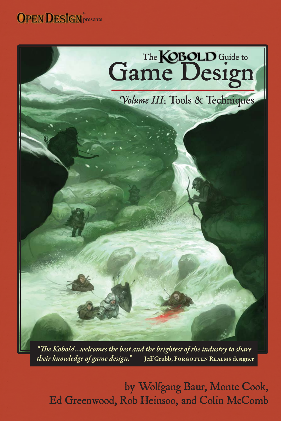



"The Kobold...welcomes the best and the brightest of the industry to share *their knowledge of game design. "* **Jeff Grubb, Forgotten Realms designer**

by Wolfgang Baur, Monte Cook, Ed Greenwood, Rob Heinsoo, and Colin McComb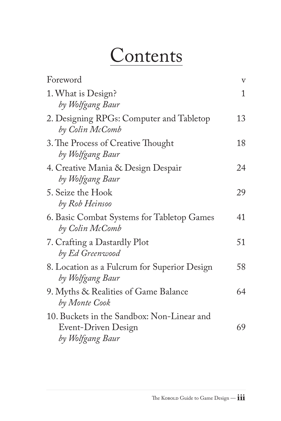## Contents

| Foreword                                                                              | $\rm{V}$ |
|---------------------------------------------------------------------------------------|----------|
| 1. What is Design?<br>by Wolfgang Baur                                                | 1        |
| 2. Designing RPGs: Computer and Tabletop<br>by Colin McComb                           | 13       |
| 3. The Process of Creative Thought<br>by Wolfgang Baur                                | 18       |
| 4. Creative Mania & Design Despair<br>by Wolfgang Baur                                | 24       |
| 5. Seize the Hook<br>by Rob Heinsoo                                                   | 29       |
| 6. Basic Combat Systems for Tabletop Games<br>by Colin McComb                         | 41       |
| 7. Crafting a Dastardly Plot<br>by Ed Greenwood                                       | 51       |
| 8. Location as a Fulcrum for Superior Design<br>by Wolfgang Baur                      | 58       |
| 9. Myths & Realities of Game Balance<br>by Monte Cook                                 | 64       |
| 10. Buckets in the Sandbox: Non-Linear and<br>Event-Driven Design<br>by Wolfgang Baur | 69       |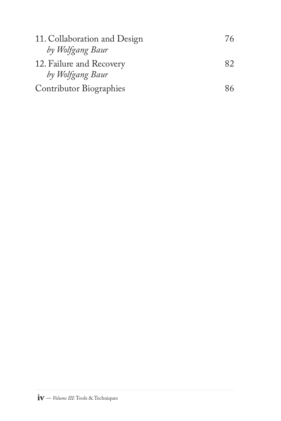| 11. Collaboration and Design   | 76  |
|--------------------------------|-----|
| by Wolfgang Baur               |     |
| 12. Failure and Recovery       | 82. |
| by Wolfgang Baur               |     |
| <b>Contributor Biographies</b> | 86  |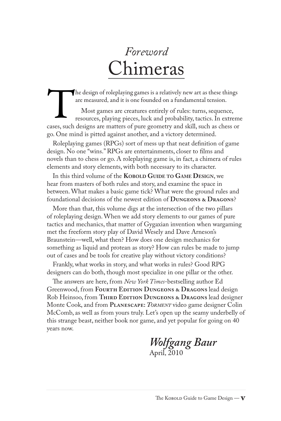## *Foreword* Chimeras

are measured, and it is one founded on a fundamental tension.

<span id="page-3-0"></span>The design of roleplaying games is a relatively new art as these things<br>are measured, and it is one founded on a fundamental tension.<br>Most games are creatures entirely of rules: turns, sequence,<br>resources, playing pieces, Most games are creatures entirely of rules: turns, sequence, resources, playing pieces, luck and probability, tactics. In extreme cases, such designs are matters of pure geometry and skill, such as chess or go. One mind is pitted against another, and a victory determined.

Roleplaying games (RPGs) sort of mess up that neat definition of game design. No one "wins." RPGs are entertainments, closer to films and novels than to chess or go. A roleplaying game is, in fact, a chimera of rules elements and story elements, with both necessary to its character.

In this third volume of the **KOBOLD GUIDE TO GAME DESIGN**, we hear from masters of both rules and story, and examine the space in between. What makes a basic game tick? What were the ground rules and foundational decisions of the newest edition of **Dungeons & Dragons**?

More than that, this volume digs at the intersection of the two pillars of roleplaying design. When we add story elements to our games of pure tactics and mechanics, that matter of Gygaxian invention when wargaming met the freeform story play of David Wesely and Dave Arneson's Braunstein—well, what then? How does one design mechanics for something as liquid and protean as story? How can rules be made to jump out of cases and be tools for creative play without victory conditions?

Frankly, what works in story, and what works in rules? Good RPG designers can do both, though most specialize in one pillar or the other.

The answers are here, from *New York Times*-bestselling author Ed Greenwood, from **Fourth Edition Dungeons & Dragons** lead design Rob Heinsoo, from THIRD EDITION DUNGEONS & DRAGONS lead designer Monte Cook, and from **Planescape:** *TORMENT* video game designer Colin McComb, as well as from yours truly. Let's open up the seamy underbelly of this strange beast, neither book nor game, and yet popular for going on 40 years now.

*Wolfgang Baur* April, 2010